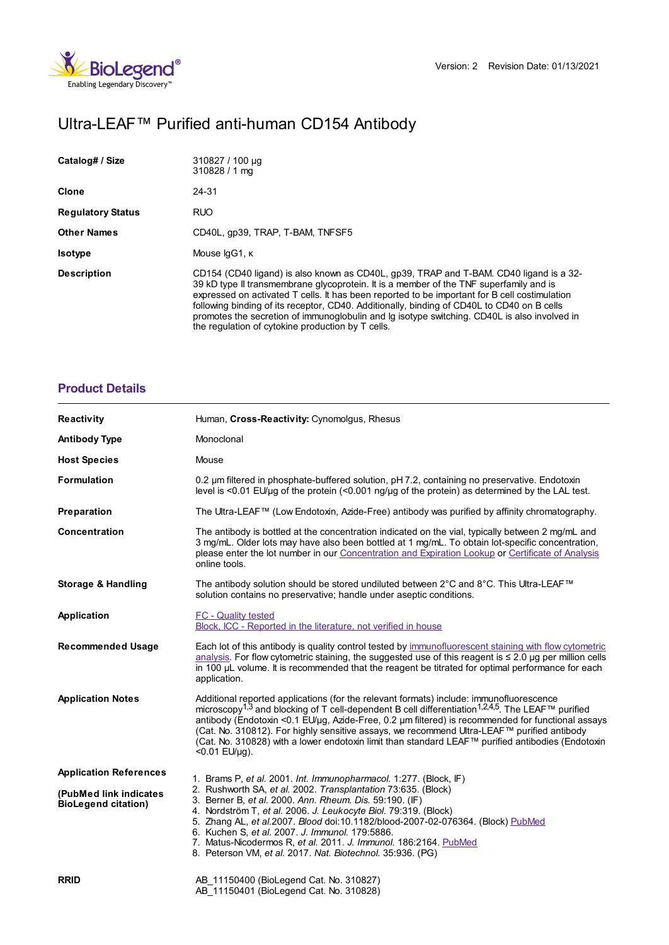

# Ultra-LEAF™ Purified anti-human CD154 Antibody

| Catalog# / Size          | 310827 / 100 µg<br>$310828/1$ mg                                                                                                                                                                                                                                                                                                                                                                                                                                                                                                     |
|--------------------------|--------------------------------------------------------------------------------------------------------------------------------------------------------------------------------------------------------------------------------------------------------------------------------------------------------------------------------------------------------------------------------------------------------------------------------------------------------------------------------------------------------------------------------------|
| Clone                    | 24-31                                                                                                                                                                                                                                                                                                                                                                                                                                                                                                                                |
| <b>Regulatory Status</b> | <b>RUO</b>                                                                                                                                                                                                                                                                                                                                                                                                                                                                                                                           |
| <b>Other Names</b>       | CD40L, qp39, TRAP, T-BAM, TNFSF5                                                                                                                                                                                                                                                                                                                                                                                                                                                                                                     |
| <b>Isotype</b>           | Mouse IgG1, K                                                                                                                                                                                                                                                                                                                                                                                                                                                                                                                        |
| <b>Description</b>       | CD154 (CD40 ligand) is also known as CD40L, gp39, TRAP and T-BAM. CD40 ligand is a 32-<br>39 kD type II transmembrane glycoprotein. It is a member of the TNF superfamily and is<br>expressed on activated T cells. It has been reported to be important for B cell costimulation<br>following binding of its receptor, CD40. Additionally, binding of CD40L to CD40 on B cells<br>promotes the secretion of immunoglobulin and Ig isotype switching. CD40L is also involved in<br>the regulation of cytokine production by T cells. |

## **[Product](https://www.biolegend.com/it-it/products/ultra-leaf-purified-anti-human-cd154-antibody-7744?pdf=true&displayInline=true&leftRightMargin=15&topBottomMargin=15&filename=Ultra-LEAF%EF%BF%BD%EF%BF%BD%EF%BF%BD Purified anti-human CD154 Antibody.pdf#productDetails) Details**

| <b>Reactivity</b>                                    | Human, Cross-Reactivity: Cynomolgus, Rhesus                                                                                                                                                                                                                                                                                                                                                                                                                                                                                                                  |
|------------------------------------------------------|--------------------------------------------------------------------------------------------------------------------------------------------------------------------------------------------------------------------------------------------------------------------------------------------------------------------------------------------------------------------------------------------------------------------------------------------------------------------------------------------------------------------------------------------------------------|
| <b>Antibody Type</b>                                 | Monoclonal                                                                                                                                                                                                                                                                                                                                                                                                                                                                                                                                                   |
| <b>Host Species</b>                                  | Mouse                                                                                                                                                                                                                                                                                                                                                                                                                                                                                                                                                        |
| <b>Formulation</b>                                   | 0.2 um filtered in phosphate-buffered solution, pH 7.2, containing no preservative. Endotoxin<br>level is $\leq$ 0.01 EU/µq of the protein ( $\leq$ 0.001 ng/µq of the protein) as determined by the LAL test.                                                                                                                                                                                                                                                                                                                                               |
| Preparation                                          | The Ultra-LEAF™ (Low Endotoxin, Azide-Free) antibody was purified by affinity chromatography.                                                                                                                                                                                                                                                                                                                                                                                                                                                                |
| Concentration                                        | The antibody is bottled at the concentration indicated on the vial, typically between 2 mg/mL and<br>3 mg/mL. Older lots may have also been bottled at 1 mg/mL. To obtain lot-specific concentration,<br>please enter the lot number in our Concentration and Expiration Lookup or Certificate of Analysis<br>online tools.                                                                                                                                                                                                                                  |
| <b>Storage &amp; Handling</b>                        | The antibody solution should be stored undiluted between 2°C and 8°C. This Ultra-LEAF™<br>solution contains no preservative; handle under aseptic conditions.                                                                                                                                                                                                                                                                                                                                                                                                |
| Application                                          | FC - Quality tested<br>Block, ICC - Reported in the literature, not verified in house                                                                                                                                                                                                                                                                                                                                                                                                                                                                        |
| <b>Recommended Usage</b>                             | Each lot of this antibody is quality control tested by immunofluorescent staining with flow cytometric<br>analysis. For flow cytometric staining, the suggested use of this reagent is $\leq 2.0$ µg per million cells<br>in 100 µL volume. It is recommended that the reagent be titrated for optimal performance for each<br>application.                                                                                                                                                                                                                  |
| <b>Application Notes</b>                             | Additional reported applications (for the relevant formats) include: immunofluorescence<br>microscopy <sup>1,3</sup> and blocking of T cell-dependent B cell differentiation <sup>1,2,4,5</sup> . The LEAF <sup>™</sup> purified<br>antibody (Endotoxin <0.1 EU/µg, Azide-Free, 0.2 µm filtered) is recommended for functional assays<br>(Cat. No. 310812). For highly sensitive assays, we recommend Ultra-LEAF™ purified antibody<br>(Cat. No. 310828) with a lower endotoxin limit than standard LEAF™ purified antibodies (Endotoxin<br>$< 0.01$ EU/µq). |
| <b>Application References</b>                        | 1. Brams P, et al. 2001. Int. Immunopharmacol. 1:277. (Block, IF)                                                                                                                                                                                                                                                                                                                                                                                                                                                                                            |
| (PubMed link indicates<br><b>BioLegend citation)</b> | 2. Rushworth SA, et al. 2002. Transplantation 73:635. (Block)<br>3. Berner B, et al. 2000. Ann. Rheum. Dis. 59:190. (IF)<br>4. Nordström T, et al. 2006. J. Leukocyte Biol. 79:319. (Block)<br>5. Zhang AL, et al.2007. Blood doi:10.1182/blood-2007-02-076364. (Block) PubMed<br>6. Kuchen S, et al. 2007. J. Immunol. 179:5886.<br>7. Matus-Nicodermos R, et al. 2011. J. Immunol. 186:2164. PubMed<br>8. Peterson VM, et al. 2017. Nat. Biotechnol. 35:936. (PG)                                                                                          |
| <b>RRID</b>                                          | AB 11150400 (BioLegend Cat. No. 310827)<br>AB 11150401 (BioLegend Cat. No. 310828)                                                                                                                                                                                                                                                                                                                                                                                                                                                                           |